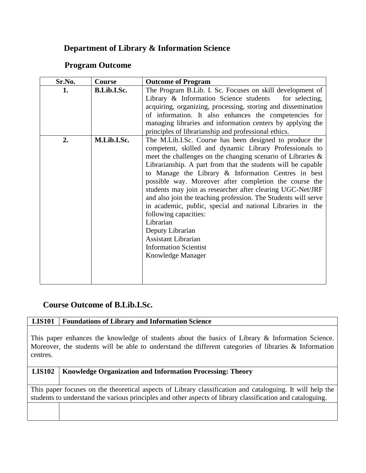# **Department of Library & Information Science**

### **Program Outcome**

| Sr.No. | Course             | <b>Outcome of Program</b>                                                                                                                                                                                                                                                                                                                                                                                                                                                                                                                                                                                                                                                                                        |
|--------|--------------------|------------------------------------------------------------------------------------------------------------------------------------------------------------------------------------------------------------------------------------------------------------------------------------------------------------------------------------------------------------------------------------------------------------------------------------------------------------------------------------------------------------------------------------------------------------------------------------------------------------------------------------------------------------------------------------------------------------------|
| 1.     | <b>B.Lib.I.Sc.</b> | The Program B.Lib. I. Sc. Focuses on skill development of<br>Library & Information Science students for selecting,<br>acquiring, organizing, processing, storing and dissemination<br>of information. It also enhances the competencies for<br>managing libraries and information centers by applying the<br>principles of librarianship and professional ethics.                                                                                                                                                                                                                                                                                                                                                |
| 2.     | M.Lib.I.Sc.        | The M.Lib.I.Sc. Course has been designed to produce the<br>competent, skilled and dynamic Library Professionals to<br>meet the challenges on the changing scenario of Libraries $\&$<br>Librarianship. A part from that the students will be capable<br>to Manage the Library & Information Centres in best<br>possible way. Moreover after completion the course the<br>students may join as researcher after clearing UGC-Net/JRF<br>and also join the teaching profession. The Students will serve<br>in academic, public, special and national Libraries in the<br>following capacities:<br>Librarian<br>Deputy Librarian<br><b>Assistant Librarian</b><br><b>Information Scientist</b><br>Knowledge Manager |

## **Course Outcome of B.Lib.I.Sc.**

### **LIS101 Foundations of Library and Information Science**

This paper enhances the knowledge of students about the basics of Library & Information Science. Moreover, the students will be able to understand the different categories of libraries & Information centres.

### **LIS102 Knowledge Organization and Information Processing: Theory**

This paper focuses on the theoretical aspects of Library classification and cataloguing. It will help the students to understand the various principles and other aspects of library classification and cataloguing.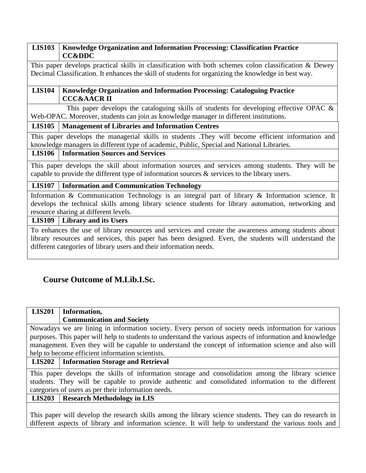#### **LIS103 Knowledge Organization and Information Processing: Classification Practice CC&DDC**

This paper develops practical skills in classification with both schemes colon classification & Dewey Decimal Classification. It enhances the skill of students for organizing the knowledge in best way.

### **LIS104 Knowledge Organization and Information Processing: Cataloguing Practice CCC&AACR II**

This paper develops the cataloguing skills of students for developing effective OPAC & Web-OPAC. Moreover, students can join as knowledge manager in different institutions.

### **LIS105 Management of Libraries and Information Centres**

This paper develops the managerial skills in students .They will become efficient information and knowledge managers in different type of academic, Public, Special and National Libraries.

### **LIS106 Information Sources and Services**

This paper develops the skill about information sources and services among students. They will be capable to provide the different type of information sources & services to the library users.

### **LIS107 Information and Communication Technology**

Information & Communication Technology is an integral part of library & Information science. It develops the technical skills among library science students for library automation, networking and resource sharing at different levels.

### **LIS109 Library and its Users**

To enhances the use of library resources and services and create the awareness among students about library resources and services, this paper has been designed. Even, the students will understand the different categories of library users and their information needs.

## **Course Outcome of M.Lib.I.Sc.**

| <b>LIS201</b>                                                                                                   | Information,                               |  |
|-----------------------------------------------------------------------------------------------------------------|--------------------------------------------|--|
|                                                                                                                 | <b>Communication and Society</b>           |  |
| Nowadays we are lining in information society. Every person of society needs information for various            |                                            |  |
| purposes. This paper will help to students to understand the various aspects of information and knowledge       |                                            |  |
| management. Even they will be capable to understand the concept of information science and also will            |                                            |  |
| help to become efficient information scientists.                                                                |                                            |  |
|                                                                                                                 | LIS202   Information Storage and Retrieval |  |
| This paper develops the skills of information storage and consolidation among the library science               |                                            |  |
| students. They will be capable to provide authentic and consolidated information to the different               |                                            |  |
| categories of users as per their information needs.                                                             |                                            |  |
|                                                                                                                 | LIS203   Research Methodology in LIS       |  |
|                                                                                                                 |                                            |  |
| THE CONSERVED IS AN INTERNATIONAL SERVICE IS AN INFORMATION OF THE CONSERVED TO A SERVICE IN THE CONSERVED IS A |                                            |  |

This paper will develop the research skills among the library science students. They can do research in different aspects of library and information science. It will help to understand the various tools and